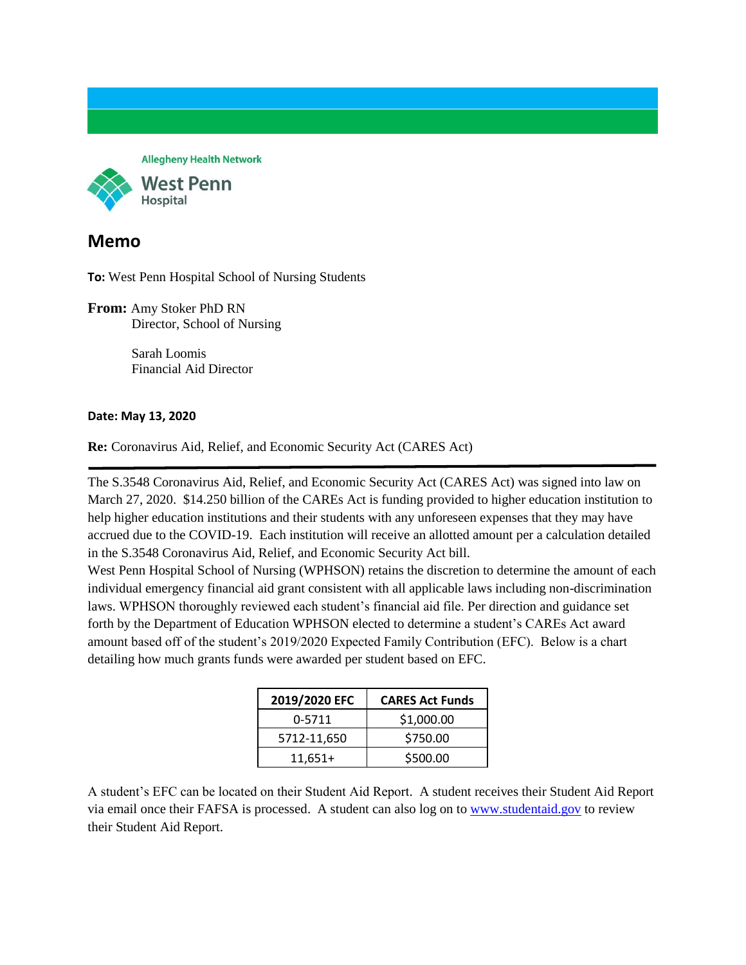**Allegheny Health Network** West Penn Hospital

## **Memo**

**To:** West Penn Hospital School of Nursing Students

**From:** Amy Stoker PhD RN Director, School of Nursing

> Sarah Loomis Financial Aid Director

## **Date: May 13, 2020**

**Re:** Coronavirus Aid, Relief, and Economic Security Act (CARES Act)

The S.3548 Coronavirus Aid, Relief, and Economic Security Act (CARES Act) was signed into law on March 27, 2020. \$14.250 billion of the CAREs Act is funding provided to higher education institution to help higher education institutions and their students with any unforeseen expenses that they may have accrued due to the COVID-19. Each institution will receive an allotted amount per a calculation detailed in the S.3548 Coronavirus Aid, Relief, and Economic Security Act bill.

West Penn Hospital School of Nursing (WPHSON) retains the discretion to determine the amount of each individual emergency financial aid grant consistent with all applicable laws including non-discrimination laws. WPHSON thoroughly reviewed each student's financial aid file. Per direction and guidance set forth by the Department of Education WPHSON elected to determine a student's CAREs Act award amount based off of the student's 2019/2020 Expected Family Contribution (EFC). Below is a chart detailing how much grants funds were awarded per student based on EFC.

| 2019/2020 EFC | <b>CARES Act Funds</b> |
|---------------|------------------------|
| 0-5711        | \$1,000.00             |
| 5712-11,650   | \$750.00               |
| $11,651+$     | \$500.00               |

A student's EFC can be located on their Student Aid Report. A student receives their Student Aid Report via email once their FAFSA is processed. A student can also log on to [www.studentaid.gov](http://www.studentaid.gov/) to review their Student Aid Report.